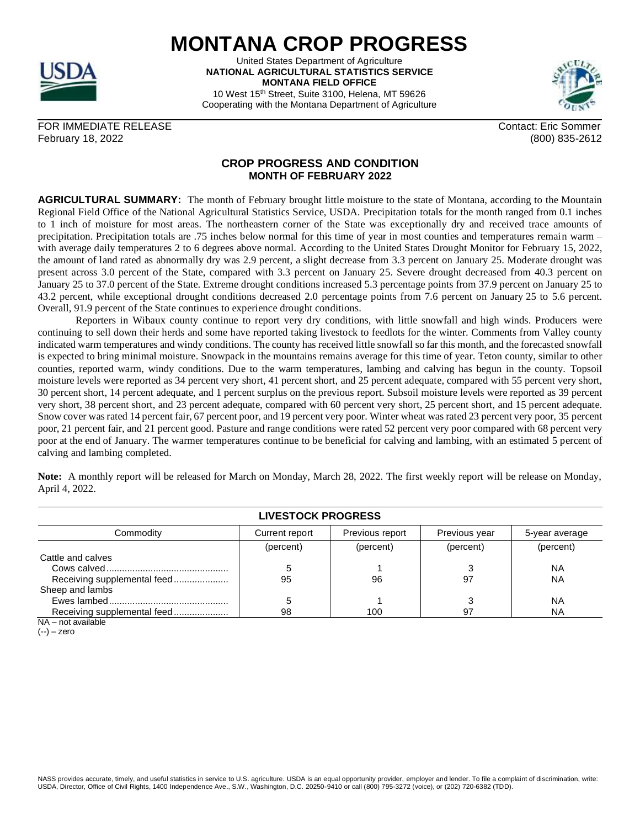## **MONTANA CROP PROGRESS**

United States Department of Agriculture **NATIONAL AGRICULTURAL STATISTICS SERVICE MONTANA FIELD OFFICE** 10 West 15th Street, Suite 3100, Helena, MT 59626

Cooperating with the Montana Department of Agriculture

FOR IMMEDIATE RELEASE CONTACT AND THE SOME CONTACT SOME CONTACT ERIC SOMMER February 18, 2022 (800) 835-2612

## **CROP PROGRESS AND CONDITION MONTH OF FEBRUARY 2022**

**AGRICULTURAL SUMMARY:** The month of February brought little moisture to the state of Montana, according to the Mountain Regional Field Office of the National Agricultural Statistics Service, USDA. Precipitation totals for the month ranged from 0.1 inches to 1 inch of moisture for most areas. The northeastern corner of the State was exceptionally dry and received trace amounts of precipitation. Precipitation totals are .75 inches below normal for this time of year in most counties and temperatures remain warm – with average daily temperatures 2 to 6 degrees above normal. According to the United States Drought Monitor for February 15, 2022, the amount of land rated as abnormally dry was 2.9 percent, a slight decrease from 3.3 percent on January 25. Moderate drought was present across 3.0 percent of the State, compared with 3.3 percent on January 25. Severe drought decreased from 40.3 percent on January 25 to 37.0 percent of the State. Extreme drought conditions increased 5.3 percentage points from 37.9 percent on January 25 to 43.2 percent, while exceptional drought conditions decreased 2.0 percentage points from 7.6 percent on January 25 to 5.6 percent. Overall, 91.9 percent of the State continues to experience drought conditions.

Reporters in Wibaux county continue to report very dry conditions, with little snowfall and high winds. Producers were continuing to sell down their herds and some have reported taking livestock to feedlots for the winter. Comments from Valley county indicated warm temperatures and windy conditions. The county has received little snowfall so far this month, and the forecasted snowfall is expected to bring minimal moisture. Snowpack in the mountains remains average for this time of year. Teton county, similar to other counties, reported warm, windy conditions. Due to the warm temperatures, lambing and calving has begun in the county. Topsoil moisture levels were reported as 34 percent very short, 41 percent short, and 25 percent adequate, compared with 55 percent very short, 30 percent short, 14 percent adequate, and 1 percent surplus on the previous report. Subsoil moisture levels were reported as 39 percent very short, 38 percent short, and 23 percent adequate, compared with 60 percent very short, 25 percent short, and 15 percent adequate. Snow cover was rated 14 percent fair, 67 percent poor, and 19 percent very poor. Winter wheat was rated 23 percent very poor, 35 percent poor, 21 percent fair, and 21 percent good. Pasture and range conditions were rated 52 percent very poor compared with 68 percent very poor at the end of January. The warmer temperatures continue to be beneficial for calving and lambing, with an estimated 5 percent of calving and lambing completed.

**Note:** A monthly report will be released for March on Monday, March 28, 2022. The first weekly report will be release on Monday, April 4, 2022.

| <b>LIVESTOCK PROGRESS</b>   |                |                 |               |                |  |  |
|-----------------------------|----------------|-----------------|---------------|----------------|--|--|
| Commodity                   | Current report | Previous report | Previous year | 5-year average |  |  |
|                             | (percent)      | (percent)       | (percent)     | (percent)      |  |  |
| Cattle and calves           |                |                 |               |                |  |  |
|                             |                |                 |               | ΝA             |  |  |
| Receiving supplemental feed | 95             | 96              | 97            | <b>NA</b>      |  |  |
| Sheep and lambs             |                |                 |               |                |  |  |
|                             |                |                 |               | ΝA             |  |  |
| Receiving supplemental feed | 98             | 100             | -97           | NA             |  |  |

NA – not available

 $(-)$  – zero